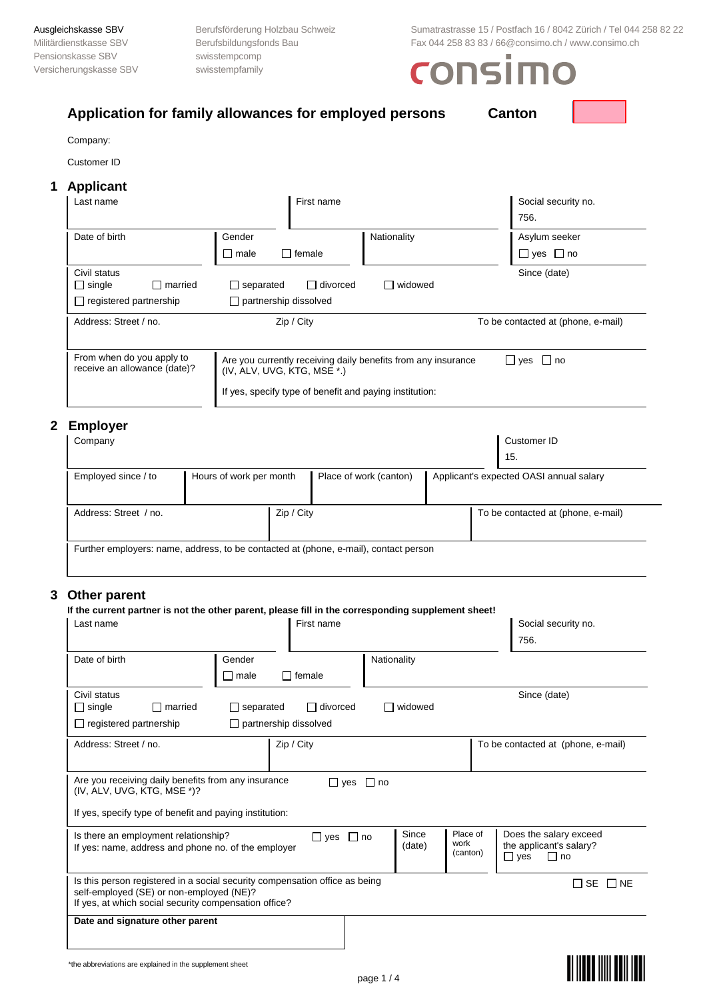Pensionskasse SBV swisstempcomp Versicherungskasse SBV swisstempfamily

Ausgleichskasse SBV Berufsförderung Holzbau Schweiz Sumatrastrasse 15 / Postfach 16 / 8042 Zürich / Tel 044 258 82 22 Militärdienstkasse SBV Berufsbildungsfonds Bau Fax 044 258 83 83 / 66@consimo.ch / www.consimo.ch / www.consimo.ch

# consimo

| Company:                                                                                                        |                |                                                  |               |                 |                                                               |  |                                         |
|-----------------------------------------------------------------------------------------------------------------|----------------|--------------------------------------------------|---------------|-----------------|---------------------------------------------------------------|--|-----------------------------------------|
| Customer ID                                                                                                     |                |                                                  |               |                 |                                                               |  |                                         |
| <b>Applicant</b>                                                                                                |                |                                                  |               |                 |                                                               |  |                                         |
| Last name                                                                                                       |                |                                                  |               | First name      |                                                               |  | Social security no.<br>756.             |
| Date of birth                                                                                                   |                | Gender<br>male                                   | $\Box$ female |                 | Nationality                                                   |  | Asylum seeker<br>$\Box$ yes $\Box$ no   |
| Civil status<br>$\Box$ single<br>$\Box$ registered partnership                                                  | $\Box$ married | $\Box$ separated<br>$\Box$ partnership dissolved |               | $\Box$ divorced | $\Box$ widowed                                                |  | Since (date)                            |
| Address: Street / no.                                                                                           |                |                                                  | Zip / City    |                 |                                                               |  | To be contacted at (phone, e-mail)      |
| From when do you apply to<br>receive an allowance (date)?                                                       |                | (IV, ALV, UVG, KTG, MSE *.)                      |               |                 | Are you currently receiving daily benefits from any insurance |  | $\Box$ yes $\Box$ no                    |
|                                                                                                                 |                |                                                  |               |                 | If yes, specify type of benefit and paying institution:       |  |                                         |
| <b>Employer</b>                                                                                                 |                |                                                  |               |                 |                                                               |  |                                         |
| Company                                                                                                         |                |                                                  |               |                 |                                                               |  | Customer ID<br>15.                      |
| Employed since / to                                                                                             |                | Hours of work per month                          |               |                 | Place of work (canton)                                        |  | Applicant's expected OASI annual salary |
| Address: Street / no.                                                                                           |                |                                                  | Zip / City    |                 |                                                               |  | To be contacted at (phone, e-mail)      |
| Further employers: name, address, to be contacted at (phone, e-mail), contact person                            |                |                                                  |               |                 |                                                               |  |                                         |
|                                                                                                                 |                |                                                  |               |                 |                                                               |  |                                         |
| 3 Other parent                                                                                                  |                |                                                  |               |                 |                                                               |  |                                         |
| If the current partner is not the other parent, please fill in the corresponding supplement sheet!<br>Last name |                |                                                  |               | First name      |                                                               |  | Social security no.<br>756.             |
| Date of birth                                                                                                   |                | Gender<br>$\square$ male                         | $\Box$ female |                 | Nationality                                                   |  |                                         |
|                                                                                                                 |                |                                                  |               |                 |                                                               |  |                                         |
| Civil status<br>$\Box$ single                                                                                   | $\Box$ married | $\Box$ separated                                 |               | $\Box$ divorced | $\Box$ widowed                                                |  | Since (date)                            |

| $-$ . $-$ . $-$ . $-$ . $-$ . $-$ . $-$ . $-$ . $-$ . $-$                                                                                                                        | $\Box$ paintership alsoon is a |                 |                              |                                                                              |
|----------------------------------------------------------------------------------------------------------------------------------------------------------------------------------|--------------------------------|-----------------|------------------------------|------------------------------------------------------------------------------|
| Address: Street / no.                                                                                                                                                            | Zip / City                     |                 |                              | To be contacted at (phone, e-mail)                                           |
| Are you receiving daily benefits from any insurance<br>(IV, ALV, UVG, KTG, MSE *)?                                                                                               | $\sqcup$ yes<br>$\Box$ no      |                 |                              |                                                                              |
| If yes, specify type of benefit and paying institution:                                                                                                                          |                                |                 |                              |                                                                              |
| Is there an employment relationship?<br>If yes: name, address and phone no. of the employer                                                                                      | $\Box$ yes $\Box$ no           | Since<br>(date) | Place of<br>work<br>(canton) | Does the salary exceed<br>the applicant's salary?<br>$\Box$ yes<br>$\Box$ no |
| Is this person registered in a social security compensation office as being<br>self-employed (SE) or non-employed (NE)?<br>If yes, at which social security compensation office? |                                |                 |                              | ∏ SE<br>$\Box$ NE                                                            |
| Date and signature other parent                                                                                                                                                  |                                |                 |                              |                                                                              |

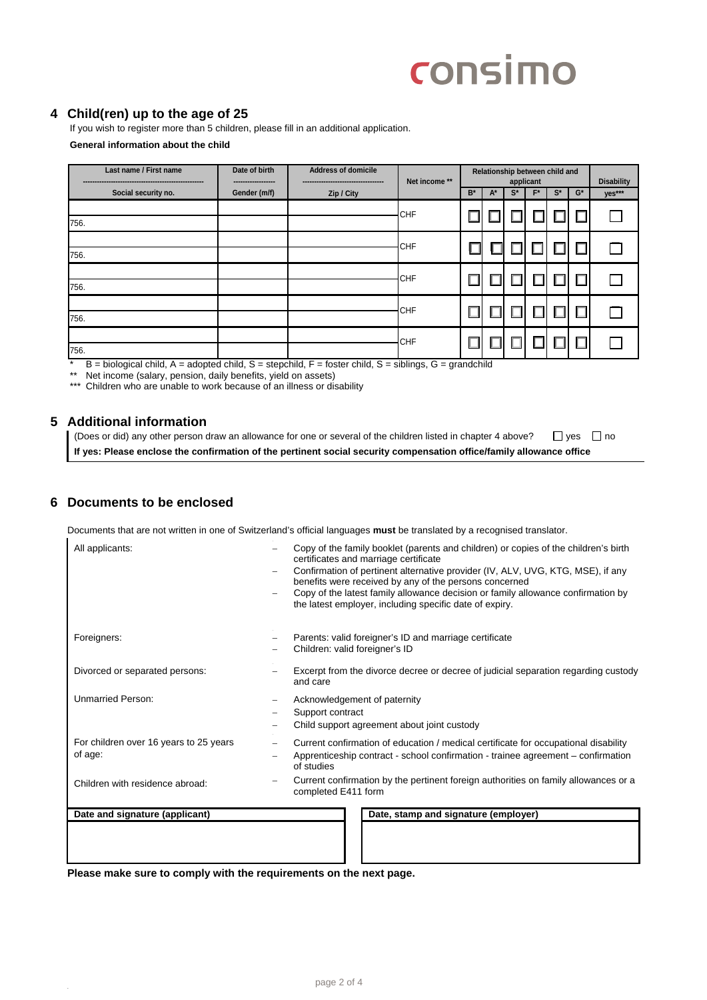# consimo

## **4 Child(ren) up to the age of 25**

If you wish to register more than 5 children, please fill in an additional application. **General information about the child**

| Last name / First name | Date of birth<br>------------------ | <b>Address of domicile</b><br> | Net income ** | Relationship between child and<br>applicant |       |       |       |       |       | <b>Disability</b> |
|------------------------|-------------------------------------|--------------------------------|---------------|---------------------------------------------|-------|-------|-------|-------|-------|-------------------|
| Social security no.    | Gender (m/f)                        | Zip / City                     |               | $B^*$                                       | $A^*$ | $S^*$ | $F^*$ | $S^*$ | $G^*$ | yes***            |
| 756.                   |                                     |                                | <b>CHF</b>    |                                             |       |       |       |       |       |                   |
| 756.                   |                                     |                                | <b>CHF</b>    |                                             |       |       |       |       |       |                   |
| 756.                   |                                     |                                | <b>CHF</b>    |                                             |       |       |       |       |       |                   |
| 756.                   |                                     |                                | <b>CHF</b>    |                                             |       |       |       |       |       |                   |
| 756.                   |                                     |                                | <b>CHF</b>    |                                             |       |       |       |       |       |                   |

 $*$  B = biological child, A = adopted child, S = stepchild, F = foster child, S = siblings, G = grandchild

\*\* Net income (salary, pension, daily benefits, yield on assets)

\*\*\* Children who are unable to work because of an illness or disability

### **5 Additional information**

(Does or did) any other person draw an allowance for one or several of the children listed in chapter 4 above?  $\Box$  yes  $\Box$  no **If yes: Please enclose the confirmation of the pertinent social security compensation office/family allowance office** 

### **6 Documents to be enclosed**

Documents that are not written in one of Switzerland's official languages **must** be translated by a recognised translator.

| All applicants:                                   | Copy of the family booklet (parents and children) or copies of the children's birth<br>certificates and marriage certificate<br>Confirmation of pertinent alternative provider (IV, ALV, UVG, KTG, MSE), if any<br>benefits were received by any of the persons concerned<br>Copy of the latest family allowance decision or family allowance confirmation by<br>the latest employer, including specific date of expiry. |
|---------------------------------------------------|--------------------------------------------------------------------------------------------------------------------------------------------------------------------------------------------------------------------------------------------------------------------------------------------------------------------------------------------------------------------------------------------------------------------------|
| Foreigners:                                       | Parents: valid foreigner's ID and marriage certificate<br>Children: valid foreigner's ID                                                                                                                                                                                                                                                                                                                                 |
| Divorced or separated persons:                    | Excerpt from the divorce decree or decree of judicial separation regarding custody<br>and care                                                                                                                                                                                                                                                                                                                           |
| <b>Unmarried Person:</b>                          | Acknowledgement of paternity<br>Support contract<br>Child support agreement about joint custody                                                                                                                                                                                                                                                                                                                          |
| For children over 16 years to 25 years<br>of age: | Current confirmation of education / medical certificate for occupational disability<br>$\equiv$<br>Apprenticeship contract - school confirmation - trainee agreement – confirmation<br>of studies                                                                                                                                                                                                                        |
| Children with residence abroad:                   | Current confirmation by the pertinent foreign authorities on family allowances or a<br>completed E411 form                                                                                                                                                                                                                                                                                                               |
| Date and signature (applicant)                    | Date, stamp and signature (employer)                                                                                                                                                                                                                                                                                                                                                                                     |
|                                                   |                                                                                                                                                                                                                                                                                                                                                                                                                          |

**Please make sure to comply with the requirements on the next page.**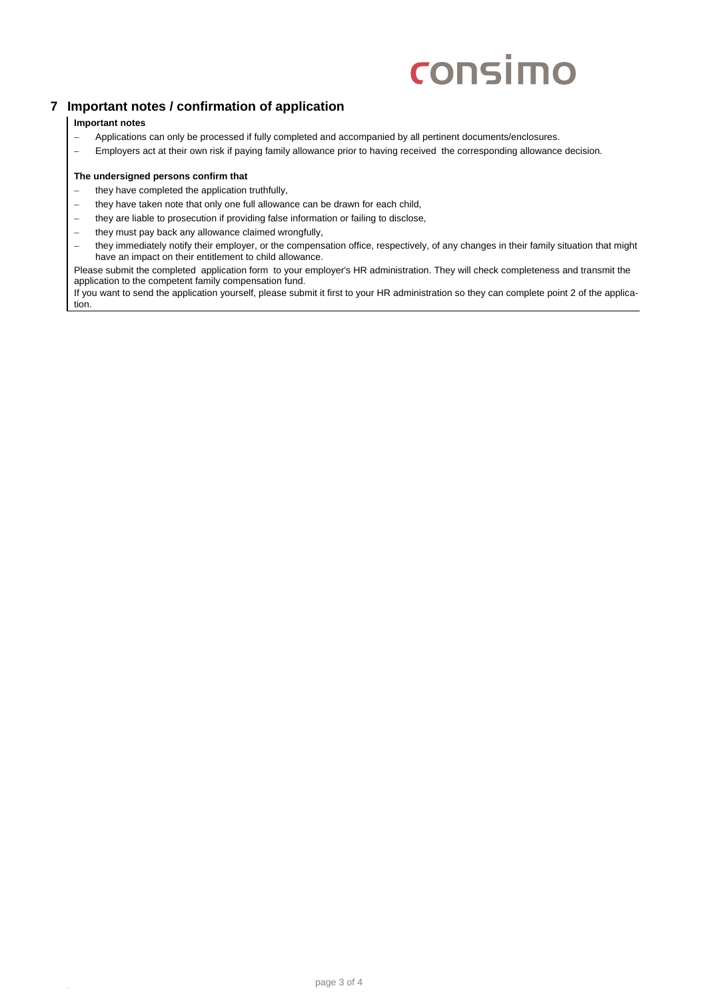# consimo

## **7 Important notes / confirmation of application**

#### **Important notes**

- − Applications can only be processed if fully completed and accompanied by all pertinent documents/enclosures.
- − Employers act at their own risk if paying family allowance prior to having received the corresponding allowance decision.

#### **The undersigned persons confirm that**

- − they have completed the application truthfully,
- − they have taken note that only one full allowance can be drawn for each child,
- − they are liable to prosecution if providing false information or failing to disclose,<br>
− they must pay back any allowance claimed wrongfully.
- − they must pay back any allowance claimed wrongfully,<br>
− they immediately notify their employer, or the compens
- they immediately notify their employer, or the compensation office, respectively, of any changes in their family situation that might have an impact on their entitlement to child allowance.

Please submit the completed application form to your employer's HR administration. They will check completeness and transmit the application to the competent family compensation fund.

If you want to send the application yourself, please submit it first to your HR administration so they can complete point 2 of the application.